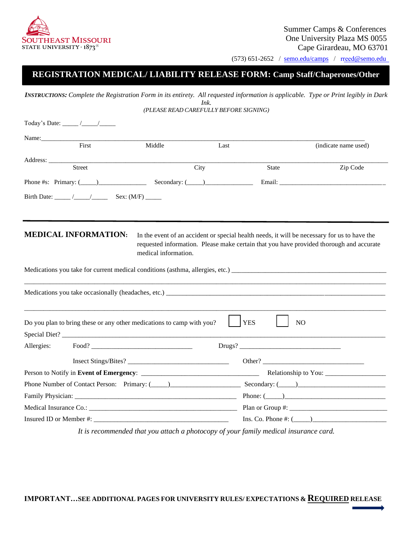

(573) 651-2652 / [semo.edu/camps](https://semo.edu/camps) / rreed[@semo.edu](mailto:rreed@semo.edu)

# **REGISTRATION MEDICAL/ LIABILITY RELEASE FORM: Camp Staff/Chaperones/Other**

 *INSTRUCTIONS: Complete the Registration Form in its entirety. All requested information is applicable. Type or Print legibly in Dark Ink. (PLEASE READ CAREFULLY BEFORE SIGNING)* 

|                                                                                                                                                                                                                                | Today's Date: $\frac{\sqrt{2}}{2}$ |                                                                       |      |                  |                                                                                              |  |
|--------------------------------------------------------------------------------------------------------------------------------------------------------------------------------------------------------------------------------|------------------------------------|-----------------------------------------------------------------------|------|------------------|----------------------------------------------------------------------------------------------|--|
|                                                                                                                                                                                                                                |                                    |                                                                       |      |                  |                                                                                              |  |
|                                                                                                                                                                                                                                | First                              | Middle                                                                | Last |                  | (indicate name used)                                                                         |  |
|                                                                                                                                                                                                                                | Street                             |                                                                       |      |                  |                                                                                              |  |
|                                                                                                                                                                                                                                |                                    |                                                                       | City | State            | Zip Code                                                                                     |  |
|                                                                                                                                                                                                                                |                                    | Phone #s: Primary: $(\_\_)$ Secondary: $(\_\_)$                       |      |                  |                                                                                              |  |
|                                                                                                                                                                                                                                |                                    |                                                                       |      |                  |                                                                                              |  |
|                                                                                                                                                                                                                                |                                    |                                                                       |      |                  |                                                                                              |  |
|                                                                                                                                                                                                                                |                                    |                                                                       |      |                  |                                                                                              |  |
|                                                                                                                                                                                                                                | <b>MEDICAL INFORMATION:</b>        |                                                                       |      |                  | In the event of an accident or special health needs, it will be necessary for us to have the |  |
|                                                                                                                                                                                                                                |                                    |                                                                       |      |                  | requested information. Please make certain that you have provided thorough and accurate      |  |
|                                                                                                                                                                                                                                |                                    | medical information.                                                  |      |                  |                                                                                              |  |
|                                                                                                                                                                                                                                |                                    |                                                                       |      |                  |                                                                                              |  |
|                                                                                                                                                                                                                                |                                    |                                                                       |      |                  |                                                                                              |  |
|                                                                                                                                                                                                                                |                                    |                                                                       |      |                  | Medications you take occasionally (headaches, etc.)                                          |  |
|                                                                                                                                                                                                                                |                                    |                                                                       |      |                  |                                                                                              |  |
|                                                                                                                                                                                                                                |                                    |                                                                       |      |                  |                                                                                              |  |
|                                                                                                                                                                                                                                |                                    | Do you plan to bring these or any other medications to camp with you? |      | <b>YES</b><br>NO |                                                                                              |  |
|                                                                                                                                                                                                                                |                                    |                                                                       |      |                  |                                                                                              |  |
| Allergies:                                                                                                                                                                                                                     |                                    |                                                                       |      |                  |                                                                                              |  |
|                                                                                                                                                                                                                                |                                    |                                                                       |      |                  | Other? $\qquad \qquad$                                                                       |  |
|                                                                                                                                                                                                                                |                                    |                                                                       |      |                  |                                                                                              |  |
| Phone Number of Contact Person: Primary: (Contact Person: Primary: (Contact Person: Primary: (Contact Person: Secondary: (Contact Person: Secondary: (Contact Person: Primary: (Contact Person: Secondary: (Contact Person: Se |                                    |                                                                       |      |                  |                                                                                              |  |
|                                                                                                                                                                                                                                |                                    |                                                                       |      | Phone: $(\_\_)$  |                                                                                              |  |
|                                                                                                                                                                                                                                |                                    |                                                                       |      |                  |                                                                                              |  |
|                                                                                                                                                                                                                                |                                    |                                                                       |      |                  | Ins. Co. Phone $\#$ : $($                                                                    |  |

*It is recommended that you attach a photocopy of your family medical insurance card.*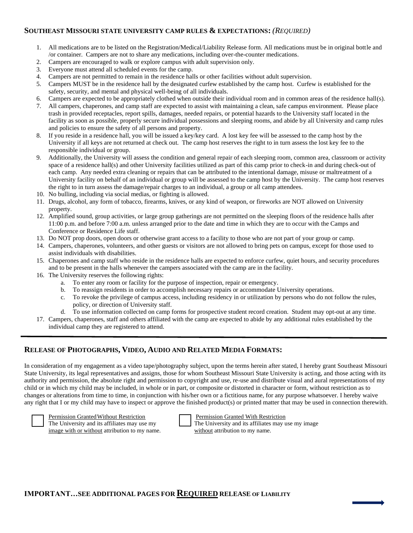#### **SOUTHEAST MISSOURI STATE UNIVERSITY CAMP RULES & EXPECTATIONS:** *(REQUIRED)*

- 1. All medications are to be listed on the Registration/Medical/Liability Release form. All medications must be in original bottle and /or container. Campers are not to share any medications, including over-the-counter medications.
- 2. Campers are encouraged to walk or explore campus with adult supervision only.
- 3. Everyone must attend all scheduled events for the camp.
- 4. Campers are not permitted to remain in the residence halls or other facilities without adult supervision.
- 5. Campers MUST be in the residence hall by the designated curfew established by the camp host. Curfew is established for the safety, security, and mental and physical well-being of all individuals.
- 6. Campers are expected to be appropriately clothed when outside their individual room and in common areas of the residence hall(s).
- 7. All campers, chaperones, and camp staff are expected to assist with maintaining a clean, safe campus environment. Please place trash in provided receptacles, report spills, damages, needed repairs, or potential hazards to the University staff located in the facility as soon as possible, properly secure individual possessions and sleeping rooms, and abide by all University and camp rules and policies to ensure the safety of all persons and property.
- 8. If you reside in a residence hall, you will be issued a key/key card. A lost key fee will be assessed to the camp host by the University if all keys are not returned at check out. The camp host reserves the right to in turn assess the lost key fee to the responsible individual or group.
- 9. Additionally, the University will assess the condition and general repair of each sleeping room, common area, classroom or activity space of a residence hall(s) and other University facilities utilized as part of this camp prior to check-in and during check-out of each camp. Any needed extra cleaning or repairs that can be attributed to the intentional damage, misuse or maltreatment of a University facility on behalf of an individual or group will be assessed to the camp host by the University. The camp host reserves the right to in turn assess the damage/repair charges to an individual, a group or all camp attendees.
- 10. No bulling, including via social medias, or fighting is allowed.
- 11. Drugs, alcohol, any form of tobacco, firearms, knives, or any kind of weapon, or fireworks are NOT allowed on University property.
- 12. Amplified sound, group activities, or large group gatherings are not permitted on the sleeping floors of the residence halls after 11:00 p.m. and before 7:00 a.m. unless arranged prior to the date and time in which they are to occur with the Camps and Conference or Residence Life staff.
- 13. Do NOT prop doors, open doors or otherwise grant access to a facility to those who are not part of your group or camp.
- 14. Campers, chaperones, volunteers, and other guests or visitors are not allowed to bring pets on campus, except for those used to assist individuals with disabilities.
- 15. Chaperones and camp staff who reside in the residence halls are expected to enforce curfew, quiet hours, and security procedures and to be present in the halls whenever the campers associated with the camp are in the facility.
- 16. The University reserves the following rights:
	- a. To enter any room or facility for the purpose of inspection, repair or emergency.
	- b. To reassign residents in order to accomplish necessary repairs or accommodate University operations.
	- c. To revoke the privilege of campus access, including residency in or utilization by persons who do not follow the rules, policy, or direction of University staff.
	- d. To use information collected on camp forms for prospective student record creation. Student may opt-out at any time.
- 17. Campers, chaperones, staff and others affiliated with the camp are expected to abide by any additional rules established by the individual camp they are registered to attend.

### **RELEASE OF PHOTOGRAPHS, VIDEO, AUDIO AND RELATED MEDIA FORMATS:**

 In consideration of my engagement as a video tape/photography subject, upon the terms herein after stated, I hereby grant Southeast Missouri State University, its legal representatives and assigns, those for whom Southeast Missouri State University is acting, and those acting with its authority and permission, the absolute right and permission to copyright and use, re-use and distribute visual and aural representations of my child or in which my child may be included, in whole or in part, or composite or distorted in character or form, without restriction as to changes or alterations from time to time, in conjunction with his/her own or a fictitious name, for any purpose whatsoever. I hereby waive any right that I or my child may have to inspect or approve the finished product(s) or printed matter that may be used in connection therewith.



Permission Granted Without Restriction

The University and its affiliates may use my image with or without attribution to my name. without attribution to my name.

Permission Granted With Restriction

The University and its affiliates may use my image